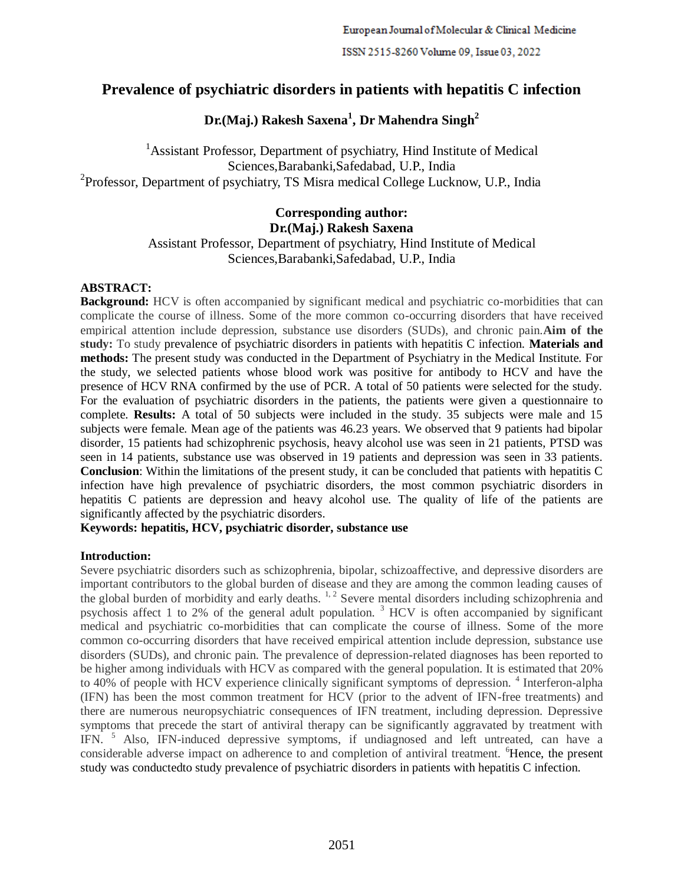# **Prevalence of psychiatric disorders in patients with hepatitis C infection**

## **Dr.(Maj.) Rakesh Saxena<sup>1</sup> , Dr Mahendra Singh<sup>2</sup>**

<sup>1</sup> Assistant Professor, Department of psychiatry, Hind Institute of Medical Sciences,Barabanki,Safedabad, U.P., India <sup>2</sup>Professor, Department of psychiatry, TS Misra medical College Lucknow, U.P., India

## **Corresponding author: Dr.(Maj.) Rakesh Saxena** Assistant Professor, Department of psychiatry, Hind Institute of Medical Sciences,Barabanki,Safedabad, U.P., India

## **ABSTRACT:**

**Background:** HCV is often accompanied by significant medical and psychiatric co-morbidities that can complicate the course of illness. Some of the more common co-occurring disorders that have received empirical attention include depression, substance use disorders (SUDs), and chronic pain.**Aim of the study:** To study prevalence of psychiatric disorders in patients with hepatitis C infection. **Materials and methods:** The present study was conducted in the Department of Psychiatry in the Medical Institute. For the study, we selected patients whose blood work was positive for antibody to HCV and have the presence of HCV RNA confirmed by the use of PCR. A total of 50 patients were selected for the study. For the evaluation of psychiatric disorders in the patients, the patients were given a questionnaire to complete. **Results:** A total of 50 subjects were included in the study. 35 subjects were male and 15 subjects were female. Mean age of the patients was 46.23 years. We observed that 9 patients had bipolar disorder, 15 patients had schizophrenic psychosis, heavy alcohol use was seen in 21 patients, PTSD was seen in 14 patients, substance use was observed in 19 patients and depression was seen in 33 patients. **Conclusion**: Within the limitations of the present study, it can be concluded that patients with hepatitis C infection have high prevalence of psychiatric disorders, the most common psychiatric disorders in hepatitis C patients are depression and heavy alcohol use. The quality of life of the patients are significantly affected by the psychiatric disorders.

## **Keywords: hepatitis, HCV, psychiatric disorder, substance use**

## **Introduction:**

Severe psychiatric disorders such as schizophrenia, bipolar, schizoaffective, and depressive disorders are important contributors to the global burden of disease and they are among the common leading causes of the global burden of morbidity and early deaths.  $1, 2$  Severe mental disorders including schizophrenia and psychosis affect 1 to 2% of the general adult population. <sup>3</sup> HCV is often accompanied by significant medical and psychiatric co-morbidities that can complicate the course of illness. Some of the more common co-occurring disorders that have received empirical attention include depression, substance use disorders (SUDs), and chronic pain. The prevalence of depression-related diagnoses has been reported to be higher among individuals with HCV as compared with the general population. It is estimated that 20% to 40% of people with HCV experience clinically significant symptoms of depression.<sup>4</sup> Interferon-alpha (IFN) has been the most common treatment for HCV (prior to the advent of IFN-free treatments) and there are numerous neuropsychiatric consequences of IFN treatment, including depression. Depressive symptoms that precede the start of antiviral therapy can be significantly aggravated by treatment with IFN. <sup>5</sup> Also, IFN-induced depressive symptoms, if undiagnosed and left untreated, can have a considerable adverse impact on adherence to and completion of antiviral treatment. <sup>6</sup>Hence, the present study was conductedto study prevalence of psychiatric disorders in patients with hepatitis C infection.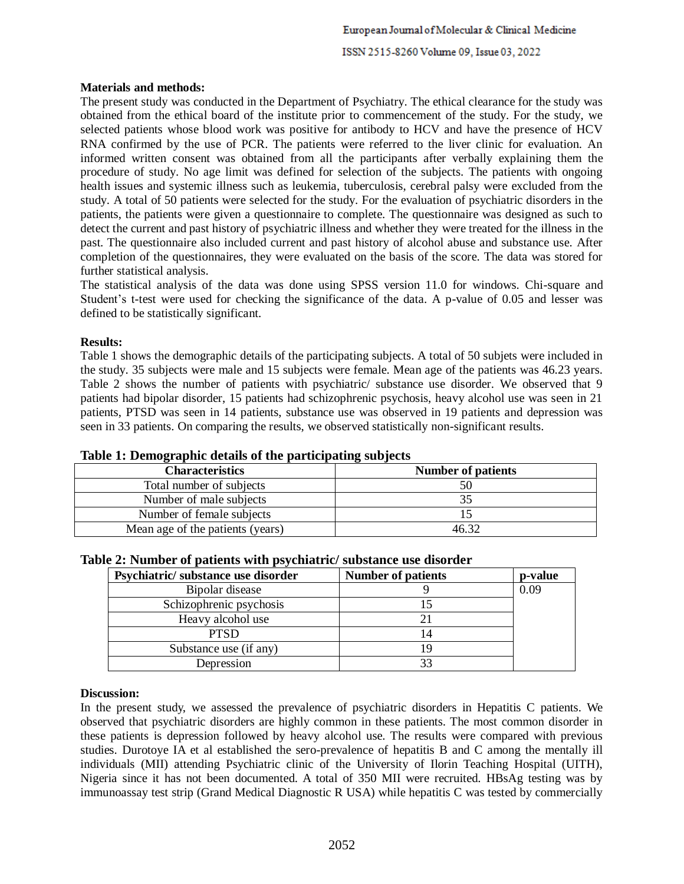#### **Materials and methods:**

The present study was conducted in the Department of Psychiatry. The ethical clearance for the study was obtained from the ethical board of the institute prior to commencement of the study. For the study, we selected patients whose blood work was positive for antibody to HCV and have the presence of HCV RNA confirmed by the use of PCR. The patients were referred to the liver clinic for evaluation. An informed written consent was obtained from all the participants after verbally explaining them the procedure of study. No age limit was defined for selection of the subjects. The patients with ongoing health issues and systemic illness such as leukemia, tuberculosis, cerebral palsy were excluded from the study. A total of 50 patients were selected for the study. For the evaluation of psychiatric disorders in the patients, the patients were given a questionnaire to complete. The questionnaire was designed as such to detect the current and past history of psychiatric illness and whether they were treated for the illness in the past. The questionnaire also included current and past history of alcohol abuse and substance use. After completion of the questionnaires, they were evaluated on the basis of the score. The data was stored for further statistical analysis.

The statistical analysis of the data was done using SPSS version 11.0 for windows. Chi-square and Student's t-test were used for checking the significance of the data. A p-value of 0.05 and lesser was defined to be statistically significant.

#### **Results:**

Table 1 shows the demographic details of the participating subjects. A total of 50 subjets were included in the study. 35 subjects were male and 15 subjects were female. Mean age of the patients was 46.23 years. Table 2 shows the number of patients with psychiatric/ substance use disorder. We observed that 9 patients had bipolar disorder, 15 patients had schizophrenic psychosis, heavy alcohol use was seen in 21 patients, PTSD was seen in 14 patients, substance use was observed in 19 patients and depression was seen in 33 patients. On comparing the results, we observed statistically non-significant results.

| Tuble 1: Demographic actumb of the participating bub jecto |                           |  |
|------------------------------------------------------------|---------------------------|--|
| <b>Characteristics</b>                                     | <b>Number of patients</b> |  |
| Total number of subjects                                   | 50                        |  |
| Number of male subjects                                    |                           |  |
| Number of female subjects                                  |                           |  |
| Mean age of the patients (years)                           | 46 32                     |  |

## **Table 1: Demographic details of the participating subjects**

| Psychiatric/substance use disorder | <b>Number of patients</b> | p-value |
|------------------------------------|---------------------------|---------|
| Bipolar disease                    |                           | 0.09    |
| Schizophrenic psychosis            |                           |         |
| Heavy alcohol use                  |                           |         |
| <b>PTSD</b>                        |                           |         |
| Substance use (if any)             |                           |         |
| Depression                         |                           |         |

## **Table 2: Number of patients with psychiatric/ substance use disorder**

## **Discussion:**

In the present study, we assessed the prevalence of psychiatric disorders in Hepatitis C patients. We observed that psychiatric disorders are highly common in these patients. The most common disorder in these patients is depression followed by heavy alcohol use. The results were compared with previous studies. Durotoye IA et al established the sero-prevalence of hepatitis B and C among the mentally ill individuals (MII) attending Psychiatric clinic of the University of Ilorin Teaching Hospital (UITH), Nigeria since it has not been documented. A total of 350 MII were recruited. HBsAg testing was by immunoassay test strip (Grand Medical Diagnostic R USA) while hepatitis C was tested by commercially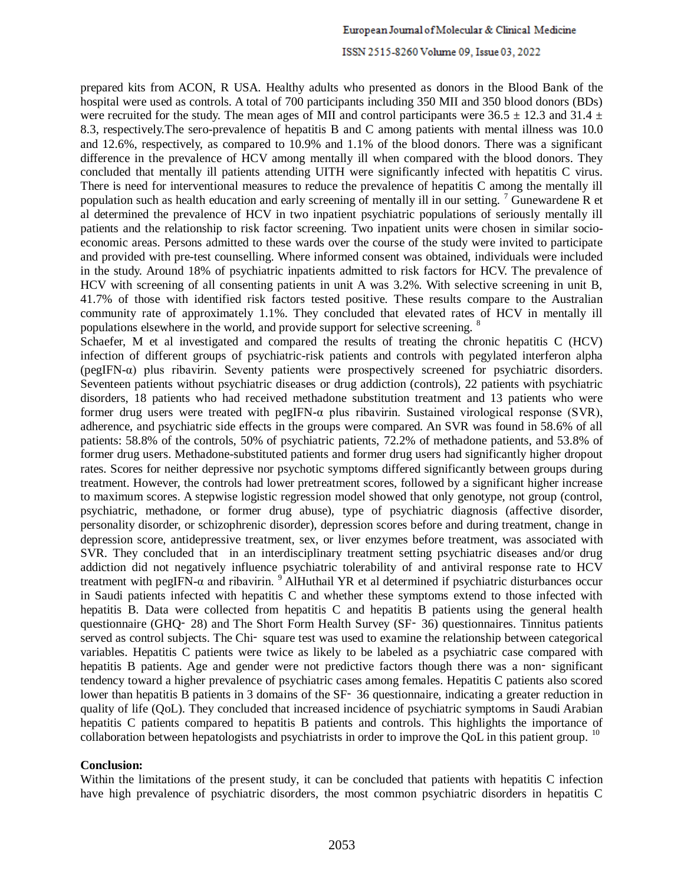#### ISSN 2515-8260 Volume 09, Issue 03, 2022

prepared kits from ACON, R USA. Healthy adults who presented as donors in the Blood Bank of the hospital were used as controls. A total of 700 participants including 350 MII and 350 blood donors (BDs) were recruited for the study. The mean ages of MII and control participants were  $36.5 \pm 12.3$  and  $31.4 \pm 12.5$ 8.3, respectively.The sero-prevalence of hepatitis B and C among patients with mental illness was 10.0 and 12.6%, respectively, as compared to 10.9% and 1.1% of the blood donors. There was a significant difference in the prevalence of HCV among mentally ill when compared with the blood donors. They concluded that mentally ill patients attending UITH were significantly infected with hepatitis C virus. There is need for interventional measures to reduce the prevalence of hepatitis C among the mentally ill population such as health education and early screening of mentally ill in our setting.  $\frac{7}{1}$  Gunewardene R et al determined the prevalence of HCV in two inpatient psychiatric populations of seriously mentally ill patients and the relationship to risk factor screening. Two inpatient units were chosen in similar socioeconomic areas. Persons admitted to these wards over the course of the study were invited to participate and provided with pre-test counselling. Where informed consent was obtained, individuals were included in the study. Around 18% of psychiatric inpatients admitted to risk factors for HCV. The prevalence of HCV with screening of all consenting patients in unit A was 3.2%. With selective screening in unit B, 41.7% of those with identified risk factors tested positive. These results compare to the Australian community rate of approximately 1.1%. They concluded that elevated rates of HCV in mentally ill populations elsewhere in the world, and provide support for selective screening. <sup>8</sup>

Schaefer, M et al investigated and compared the results of treating the chronic hepatitis C (HCV) infection of different groups of psychiatric-risk patients and controls with pegylated interferon alpha (pegIFN- $\alpha$ ) plus ribavirin. Seventy patients were prospectively screened for psychiatric disorders. Seventeen patients without psychiatric diseases or drug addiction (controls), 22 patients with psychiatric disorders, 18 patients who had received methadone substitution treatment and 13 patients who were former drug users were treated with pegIFN-α plus ribavirin. Sustained virological response (SVR), adherence, and psychiatric side effects in the groups were compared. An SVR was found in 58.6% of all patients: 58.8% of the controls, 50% of psychiatric patients, 72.2% of methadone patients, and 53.8% of former drug users. Methadone-substituted patients and former drug users had significantly higher dropout rates. Scores for neither depressive nor psychotic symptoms differed significantly between groups during treatment. However, the controls had lower pretreatment scores, followed by a significant higher increase to maximum scores. A stepwise logistic regression model showed that only genotype, not group (control, psychiatric, methadone, or former drug abuse), type of psychiatric diagnosis (affective disorder, personality disorder, or schizophrenic disorder), depression scores before and during treatment, change in depression score, antidepressive treatment, sex, or liver enzymes before treatment, was associated with SVR. They concluded that in an interdisciplinary treatment setting psychiatric diseases and/or drug addiction did not negatively influence psychiatric tolerability of and antiviral response rate to HCV treatment with pegIFN-α and ribavirin. <sup>9</sup> AlHuthail YR et al determined if psychiatric disturbances occur in Saudi patients infected with hepatitis C and whether these symptoms extend to those infected with hepatitis B. Data were collected from hepatitis C and hepatitis B patients using the general health questionnaire (GHQ– 28) and The Short Form Health Survey (SF– 36) questionnaires. Tinnitus patients served as control subjects. The Chi- square test was used to examine the relationship between categorical variables. Hepatitis C patients were twice as likely to be labeled as a psychiatric case compared with hepatitis B patients. Age and gender were not predictive factors though there was a non–significant tendency toward a higher prevalence of psychiatric cases among females. Hepatitis C patients also scored lower than hepatitis B patients in 3 domains of the SF-36 questionnaire, indicating a greater reduction in quality of life (QoL). They concluded that increased incidence of psychiatric symptoms in Saudi Arabian hepatitis C patients compared to hepatitis B patients and controls. This highlights the importance of collaboration between hepatologists and psychiatrists in order to improve the QoL in this patient group. <sup>10</sup>

#### **Conclusion:**

Within the limitations of the present study, it can be concluded that patients with hepatitis C infection have high prevalence of psychiatric disorders, the most common psychiatric disorders in hepatitis C